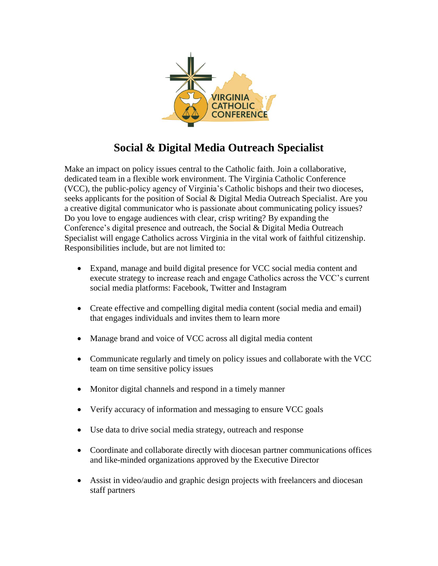

## **Social & Digital Media Outreach Specialist**

Make an impact on policy issues central to the Catholic faith. Join a collaborative, dedicated team in a flexible work environment. The Virginia Catholic Conference (VCC), the public-policy agency of Virginia's Catholic bishops and their two dioceses, seeks applicants for the position of Social & Digital Media Outreach Specialist. Are you a creative digital communicator who is passionate about communicating policy issues? Do you love to engage audiences with clear, crisp writing? By expanding the Conference's digital presence and outreach, the Social & Digital Media Outreach Specialist will engage Catholics across Virginia in the vital work of faithful citizenship. Responsibilities include, but are not limited to:

- Expand, manage and build digital presence for VCC social media content and execute strategy to increase reach and engage Catholics across the VCC's current social media platforms: Facebook, Twitter and Instagram
- Create effective and compelling digital media content (social media and email) that engages individuals and invites them to learn more
- Manage brand and voice of VCC across all digital media content
- Communicate regularly and timely on policy issues and collaborate with the VCC team on time sensitive policy issues
- Monitor digital channels and respond in a timely manner
- Verify accuracy of information and messaging to ensure VCC goals
- Use data to drive social media strategy, outreach and response
- Coordinate and collaborate directly with diocesan partner communications offices and like-minded organizations approved by the Executive Director
- Assist in video/audio and graphic design projects with freelancers and diocesan staff partners